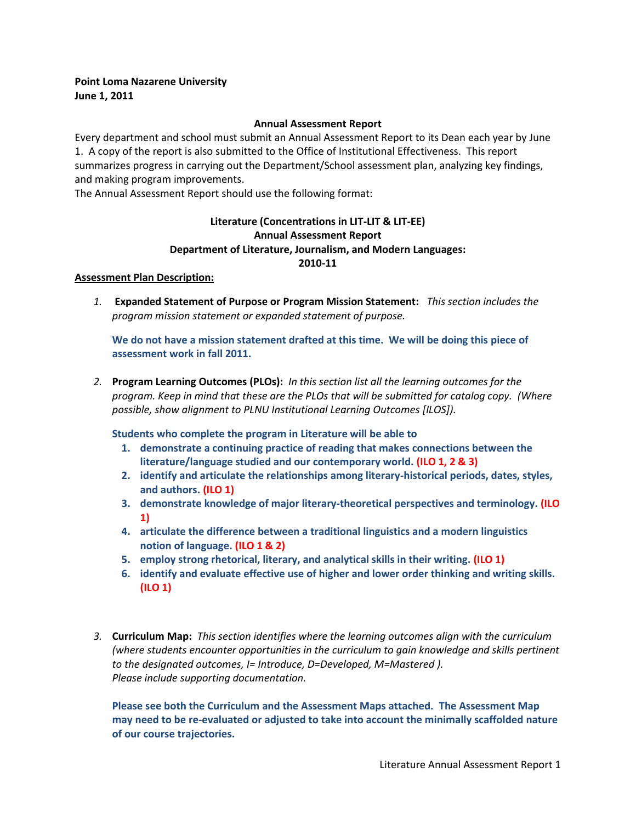## **Point Loma Nazarene University June 1, 2011**

## **Annual Assessment Report**

Every department and school must submit an Annual Assessment Report to its Dean each year by June 1. A copy of the report is also submitted to the Office of Institutional Effectiveness. This report summarizes progress in carrying out the Department/School assessment plan, analyzing key findings, and making program improvements.

The Annual Assessment Report should use the following format:

## **Literature (Concentrations in LIT-LIT & LIT-EE) Annual Assessment Report Department of Literature, Journalism, and Modern Languages: 2010-11**

## **Assessment Plan Description:**

*1.* **Expanded Statement of Purpose or Program Mission Statement:** *This section includes the program mission statement or expanded statement of purpose.* 

**We do not have a mission statement drafted at this time. We will be doing this piece of assessment work in fall 2011.**

*2.* **Program Learning Outcomes (PLOs):** *In this section list all the learning outcomes for the program. Keep in mind that these are the PLOs that will be submitted for catalog copy. (Where possible, show alignment to PLNU Institutional Learning Outcomes [ILOS]).*

**Students who complete the program in Literature will be able to**

- **1. demonstrate a continuing practice of reading that makes connections between the literature/language studied and our contemporary world. (ILO 1, 2 & 3)**
- **2. identify and articulate the relationships among literary-historical periods, dates, styles, and authors. (ILO 1)**
- **3. demonstrate knowledge of major literary-theoretical perspectives and terminology. (ILO 1)**
- **4. articulate the difference between a traditional linguistics and a modern linguistics notion of language. (ILO 1 & 2)**
- **5. employ strong rhetorical, literary, and analytical skills in their writing. (ILO 1)**
- **6. identify and evaluate effective use of higher and lower order thinking and writing skills. (ILO 1)**
- *3.* **Curriculum Map:** *This section identifies where the learning outcomes align with the curriculum (where students encounter opportunities in the curriculum to gain knowledge and skills pertinent to the designated outcomes, I= Introduce, D=Developed, M=Mastered ). Please include supporting documentation.*

**Please see both the Curriculum and the Assessment Maps attached. The Assessment Map may need to be re-evaluated or adjusted to take into account the minimally scaffolded nature of our course trajectories.**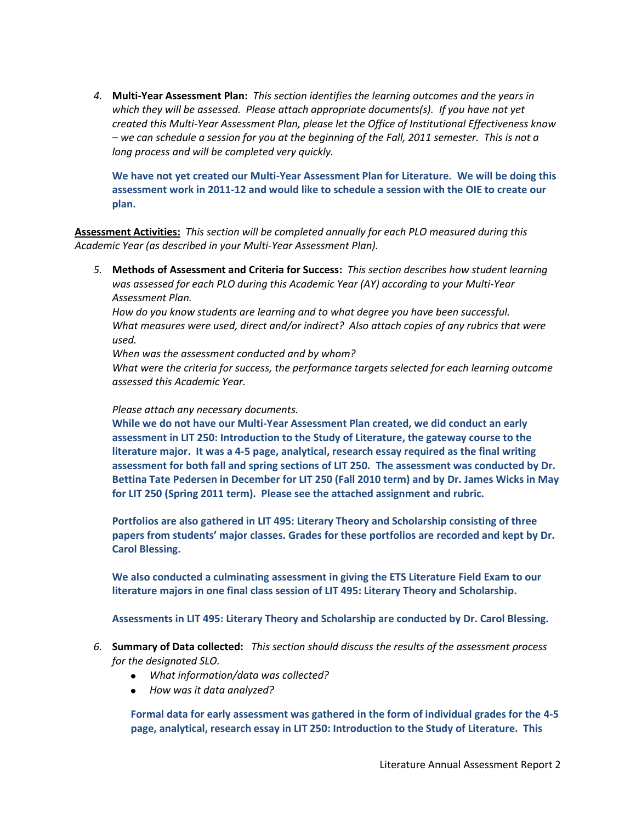*4.* **Multi-Year Assessment Plan:** *This section identifies the learning outcomes and the years in which they will be assessed. Please attach appropriate documents(s). If you have not yet created this Multi-Year Assessment Plan, please let the Office of Institutional Effectiveness know – we can schedule a session for you at the beginning of the Fall, 2011 semester. This is not a long process and will be completed very quickly.* 

**We have not yet created our Multi-Year Assessment Plan for Literature. We will be doing this assessment work in 2011-12 and would like to schedule a session with the OIE to create our plan.**

**Assessment Activities:** *This section will be completed annually for each PLO measured during this Academic Year (as described in your Multi-Year Assessment Plan).* 

*5.* **Methods of Assessment and Criteria for Success:** *This section describes how student learning was assessed for each PLO during this Academic Year (AY) according to your Multi-Year Assessment Plan.* 

*How do you know students are learning and to what degree you have been successful. What measures were used, direct and/or indirect? Also attach copies of any rubrics that were used.*

*When was the assessment conducted and by whom?*

*What were the criteria for success, the performance targets selected for each learning outcome assessed this Academic Year.*

*Please attach any necessary documents.*

**While we do not have our Multi-Year Assessment Plan created, we did conduct an early assessment in LIT 250: Introduction to the Study of Literature, the gateway course to the literature major. It was a 4-5 page, analytical, research essay required as the final writing assessment for both fall and spring sections of LIT 250. The assessment was conducted by Dr. Bettina Tate Pedersen in December for LIT 250 (Fall 2010 term) and by Dr. James Wicks in May for LIT 250 (Spring 2011 term). Please see the attached assignment and rubric.**

**Portfolios are also gathered in LIT 495: Literary Theory and Scholarship consisting of three papers from students' major classes. Grades for these portfolios are recorded and kept by Dr. Carol Blessing.**

**We also conducted a culminating assessment in giving the ETS Literature Field Exam to our literature majors in one final class session of LIT 495: Literary Theory and Scholarship.**

**Assessments in LIT 495: Literary Theory and Scholarship are conducted by Dr. Carol Blessing.**

- *6.* **Summary of Data collected:** *This section should discuss the results of the assessment process for the designated SLO.* 
	- *What information/data was collected?*
	- *How was it data analyzed?*

**Formal data for early assessment was gathered in the form of individual grades for the 4-5 page, analytical, research essay in LIT 250: Introduction to the Study of Literature. This**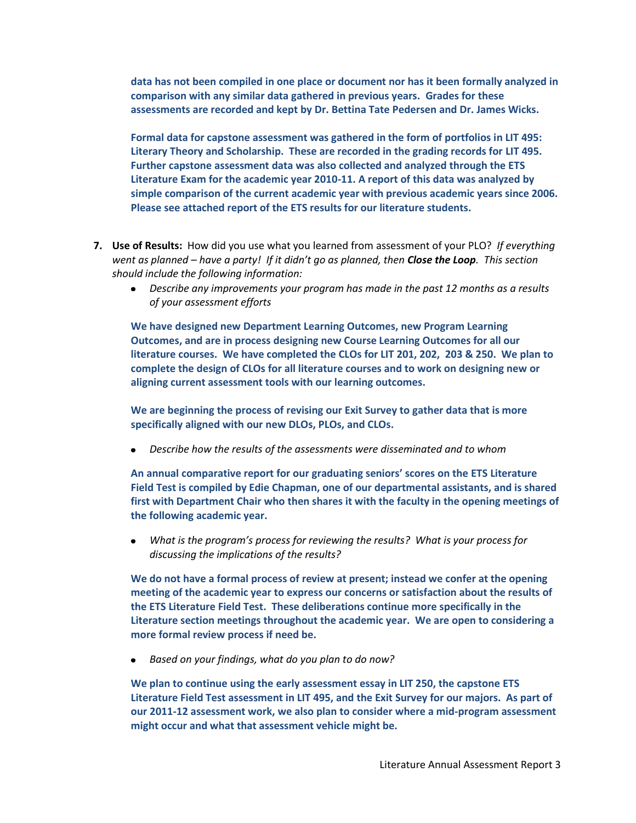**data has not been compiled in one place or document nor has it been formally analyzed in comparison with any similar data gathered in previous years. Grades for these assessments are recorded and kept by Dr. Bettina Tate Pedersen and Dr. James Wicks.**

**Formal data for capstone assessment was gathered in the form of portfolios in LIT 495: Literary Theory and Scholarship. These are recorded in the grading records for LIT 495. Further capstone assessment data was also collected and analyzed through the ETS Literature Exam for the academic year 2010-11. A report of this data was analyzed by simple comparison of the current academic year with previous academic years since 2006. Please see attached report of the ETS results for our literature students.**

- **7. Use of Results:** How did you use what you learned from assessment of your PLO? *If everything went as planned – have a party! If it didn't go as planned, then Close the Loop. This section should include the following information:*
	- *Describe any improvements your program has made in the past 12 months as a results of your assessment efforts*

**We have designed new Department Learning Outcomes, new Program Learning Outcomes, and are in process designing new Course Learning Outcomes for all our literature courses. We have completed the CLOs for LIT 201, 202, 203 & 250. We plan to complete the design of CLOs for all literature courses and to work on designing new or aligning current assessment tools with our learning outcomes.**

**We are beginning the process of revising our Exit Survey to gather data that is more specifically aligned with our new DLOs, PLOs, and CLOs.**

*Describe how the results of the assessments were disseminated and to whom* 

**An annual comparative report for our graduating seniors' scores on the ETS Literature Field Test is compiled by Edie Chapman, one of our departmental assistants, and is shared first with Department Chair who then shares it with the faculty in the opening meetings of the following academic year.**

*What is the program's process for reviewing the results? What is your process for*   $\bullet$ *discussing the implications of the results?*

**We do not have a formal process of review at present; instead we confer at the opening meeting of the academic year to express our concerns or satisfaction about the results of the ETS Literature Field Test. These deliberations continue more specifically in the Literature section meetings throughout the academic year. We are open to considering a more formal review process if need be.**

*Based on your findings, what do you plan to do now?*  $\bullet$ 

**We plan to continue using the early assessment essay in LIT 250, the capstone ETS Literature Field Test assessment in LIT 495, and the Exit Survey for our majors. As part of our 2011-12 assessment work, we also plan to consider where a mid-program assessment might occur and what that assessment vehicle might be.**